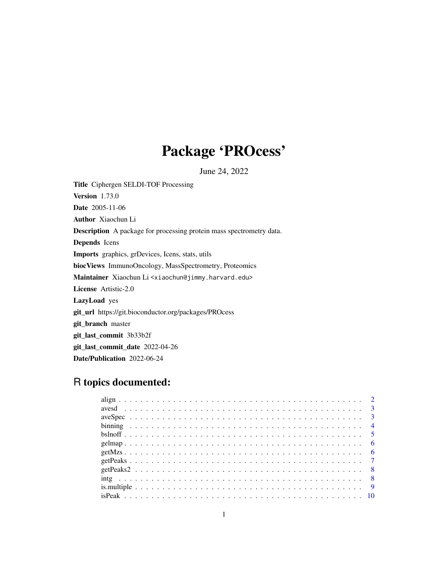## Package 'PROcess'

June 24, 2022

Title Ciphergen SELDI-TOF Processing Version 1.73.0 Date 2005-11-06 Author Xiaochun Li Description A package for processing protein mass spectrometry data. Depends Icens Imports graphics, grDevices, Icens, stats, utils biocViews ImmunoOncology, MassSpectrometry, Proteomics Maintainer Xiaochun Li <xiaochun@jimmy.harvard.edu> License Artistic-2.0 LazyLoad yes git\_url https://git.bioconductor.org/packages/PROcess git\_branch master git\_last\_commit 3b33b2f git\_last\_commit\_date 2022-04-26 Date/Publication 2022-06-24

## R topics documented: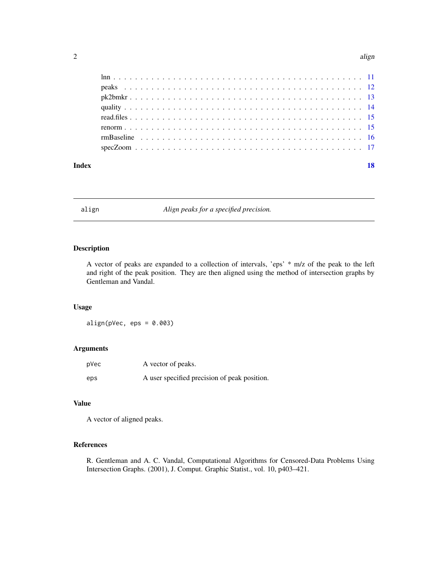#### <span id="page-1-0"></span> $2$  align

| Index |  | 18 |
|-------|--|----|

align *Align peaks for a specified precision.*

## Description

A vector of peaks are expanded to a collection of intervals, 'eps' \* m/z of the peak to the left and right of the peak position. They are then aligned using the method of intersection graphs by Gentleman and Vandal.

## Usage

 $align(pVec,eps = 0.003)$ 

## Arguments

| pVec | A vector of peaks.                           |
|------|----------------------------------------------|
| eps  | A user specified precision of peak position. |

## Value

A vector of aligned peaks.

#### References

R. Gentleman and A. C. Vandal, Computational Algorithms for Censored-Data Problems Using Intersection Graphs. (2001), J. Comput. Graphic Statist., vol. 10, p403–421.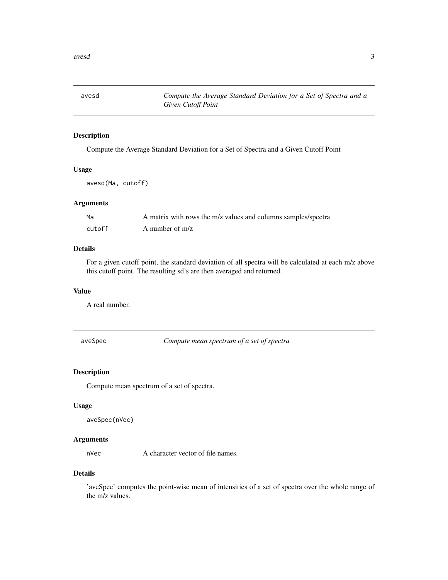<span id="page-2-0"></span>

Compute the Average Standard Deviation for a Set of Spectra and a Given Cutoff Point

#### Usage

avesd(Ma, cutoff)

#### Arguments

| Ma     | A matrix with rows the m/z values and columns samples/spectra |
|--------|---------------------------------------------------------------|
| cutoff | A number of $m/z$                                             |

## Details

For a given cutoff point, the standard deviation of all spectra will be calculated at each m/z above this cutoff point. The resulting sd's are then averaged and returned.

## Value

A real number.

aveSpec *Compute mean spectrum of a set of spectra*

## Description

Compute mean spectrum of a set of spectra.

#### Usage

```
aveSpec(nVec)
```
## Arguments

nVec A character vector of file names.

#### Details

'aveSpec' computes the point-wise mean of intensities of a set of spectra over the whole range of the m/z values.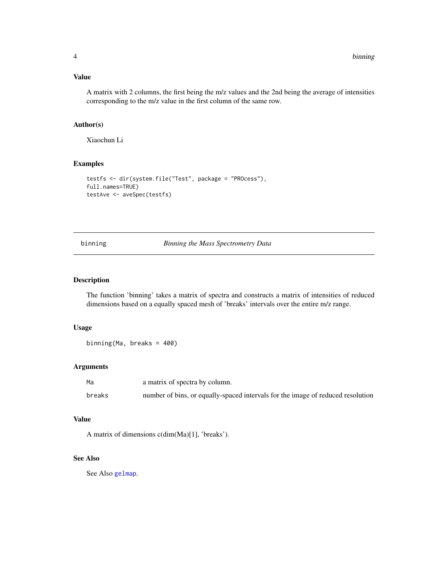#### <span id="page-3-0"></span>Value

A matrix with 2 columns, the first being the m/z values and the 2nd being the average of intensities corresponding to the m/z value in the first column of the same row.

## Author(s)

Xiaochun Li

#### Examples

```
testfs <- dir(system.file("Test", package = "PROcess"),
full.names=TRUE)
testAve <- aveSpec(testfs)
```
<span id="page-3-1"></span>binning *Binning the Mass Spectrometry Data*

#### Description

The function 'binning' takes a matrix of spectra and constructs a matrix of intensities of reduced dimensions based on a equally spaced mesh of 'breaks' intervals over the entire m/z range.

#### Usage

binning(Ma, breaks = 400)

#### Arguments

| Ma     | a matrix of spectra by column.                                                  |
|--------|---------------------------------------------------------------------------------|
| breaks | number of bins, or equally-spaced intervals for the image of reduced resolution |

## Value

A matrix of dimensions c(dim(Ma)[1], 'breaks').

## See Also

See Also [gelmap](#page-5-1).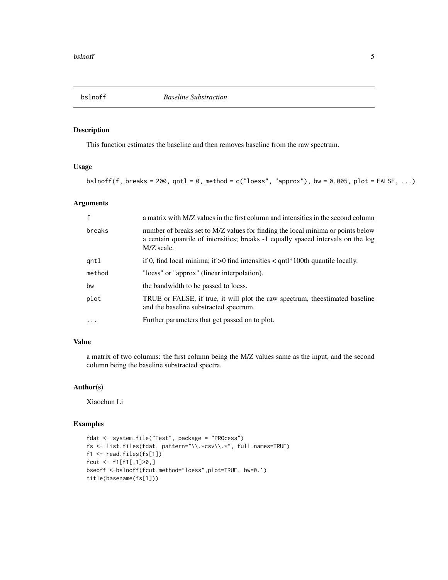<span id="page-4-0"></span>

This function estimates the baseline and then removes baseline from the raw spectrum.

## Usage

bslnoff(f, breaks = 200, qntl = 0, method =  $c("loess", "approx")$ , bw = 0.005, plot = FALSE, ...)

## Arguments

| $\mathbf{f}$ | a matrix with M/Z values in the first column and intensities in the second column                                                                                                 |
|--------------|-----------------------------------------------------------------------------------------------------------------------------------------------------------------------------------|
| breaks       | number of breaks set to M/Z values for finding the local minima or points below<br>a centain quantile of intensities; breaks -1 equally spaced intervals on the log<br>M/Z scale. |
| qntl         | if 0, find local minima; if $>0$ find intensities $<$ qntl*100th quantile locally.                                                                                                |
| method       | "loess" or "approx" (linear interpolation).                                                                                                                                       |
| bw           | the bandwidth to be passed to loess.                                                                                                                                              |
| plot         | TRUE or FALSE, if true, it will plot the raw spectrum, the estimated baseline<br>and the baseline substracted spectrum.                                                           |
| $\ddotsc$    | Further parameters that get passed on to plot.                                                                                                                                    |

## Value

a matrix of two columns: the first column being the M/Z values same as the input, and the second column being the baseline substracted spectra.

## Author(s)

Xiaochun Li

```
fdat <- system.file("Test", package = "PROcess")
fs <- list.files(fdat, pattern="\\.*csv\\.*", full.names=TRUE)
f1 <- read.files(fs[1])
fcut <- f1[f1[,1]>0,]
bseoff <-bslnoff(fcut,method="loess",plot=TRUE, bw=0.1)
title(basename(fs[1]))
```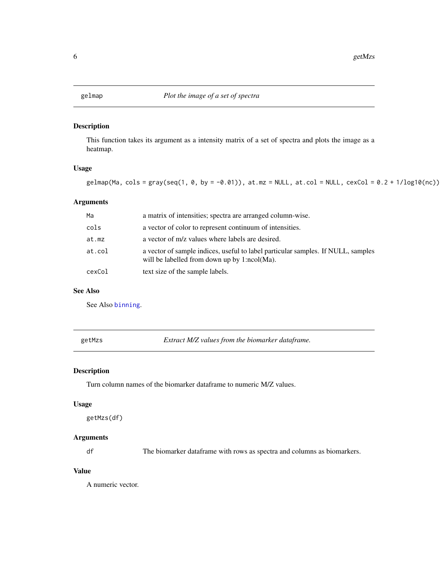<span id="page-5-1"></span><span id="page-5-0"></span>

This function takes its argument as a intensity matrix of a set of spectra and plots the image as a heatmap.

## Usage

```
gelmap(Ma, \text{cols} = \text{gray}(\text{seq}(1, 0, \text{by} = -0.01)), \text{ at.mz} = \text{NULL}, \text{ at.col} = \text{NULL}, \text{ cexCol} = 0.2 + 1/\text{log10}(nc))
```
## Arguments

| Ma     | a matrix of intensities; spectra are arranged column-wise.                                                                       |
|--------|----------------------------------------------------------------------------------------------------------------------------------|
| cols   | a vector of color to represent continuum of intensities.                                                                         |
| at.mz  | a vector of m/z values where labels are desired.                                                                                 |
| at.col | a vector of sample indices, useful to label particular samples. If NULL, samples<br>will be labelled from down up by 1:ncol(Ma). |
| cexCol | text size of the sample labels.                                                                                                  |

## See Also

See Also [binning](#page-3-1).

getMzs *Extract M/Z values from the biomarker dataframe.*

## Description

Turn column names of the biomarker dataframe to numeric M/Z values.

#### Usage

getMzs(df)

## Arguments

df The biomarker dataframe with rows as spectra and columns as biomarkers.

## Value

A numeric vector.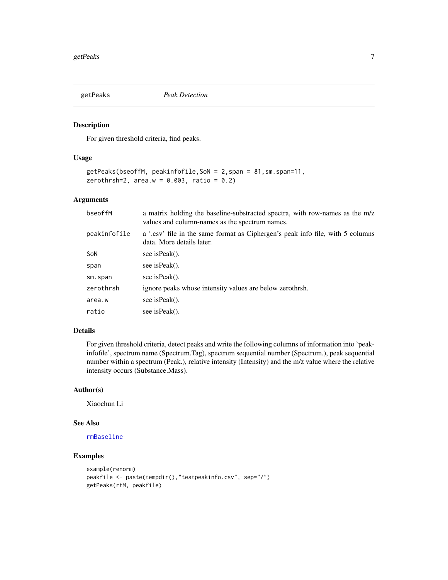<span id="page-6-1"></span><span id="page-6-0"></span>

For given threshold criteria, find peaks.

#### Usage

```
getPeaks(bseoffM, peakinfofile,SoN = 2,span = 81,sm.span=11,
zerothrsh=2, area.w = 0.003, ratio = 0.2)
```
## Arguments

| bseoffM      | a matrix holding the baseline-substracted spectra, with row-names as the m/z<br>values and column-names as the spectrum names. |
|--------------|--------------------------------------------------------------------------------------------------------------------------------|
| peakinfofile | a '.csv' file in the same format as Ciphergen's peak info file, with 5 columns<br>data. More details later.                    |
| SoN          | see is Peak().                                                                                                                 |
| span         | see is Peak().                                                                                                                 |
| sm.span      | see is Peak().                                                                                                                 |
| zerothrsh    | ignore peaks whose intensity values are below zerothrsh.                                                                       |
| area.w       | see is Peak().                                                                                                                 |
| ratio        | see is Peak().                                                                                                                 |

## Details

For given threshold criteria, detect peaks and write the following columns of information into 'peakinfofile', spectrum name (Spectrum.Tag), spectrum sequential number (Spectrum.), peak sequential number within a spectrum (Peak.), relative intensity (Intensity) and the m/z value where the relative intensity occurs (Substance.Mass).

#### Author(s)

Xiaochun Li

## See Also

[rmBaseline](#page-15-1)

```
example(renorm)
peakfile <- paste(tempdir(),"testpeakinfo.csv", sep="/")
getPeaks(rtM, peakfile)
```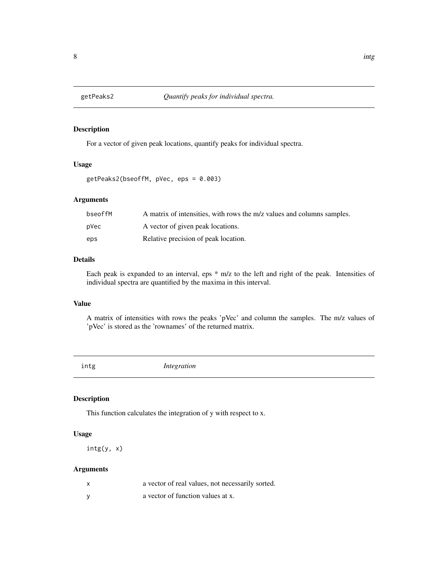<span id="page-7-0"></span>

For a vector of given peak locations, quantify peaks for individual spectra.

## Usage

```
getPeaks2(bseoffM, pVec, eps = 0.003)
```
## Arguments

| bseoffM | A matrix of intensities, with rows the m/z values and columns samples. |
|---------|------------------------------------------------------------------------|
| pVec    | A vector of given peak locations.                                      |
| eps     | Relative precision of peak location.                                   |

## Details

Each peak is expanded to an interval, eps \* m/z to the left and right of the peak. Intensities of individual spectra are quantified by the maxima in this interval.

#### Value

A matrix of intensities with rows the peaks 'pVec' and column the samples. The m/z values of 'pVec' is stored as the 'rownames' of the returned matrix.

intg *Integration*

## Description

This function calculates the integration of y with respect to x.

## Usage

intg(y, x)

## Arguments

| $\boldsymbol{\mathsf{x}}$ | a vector of real values, not necessarily sorted. |
|---------------------------|--------------------------------------------------|
|                           | a vector of function values at x.                |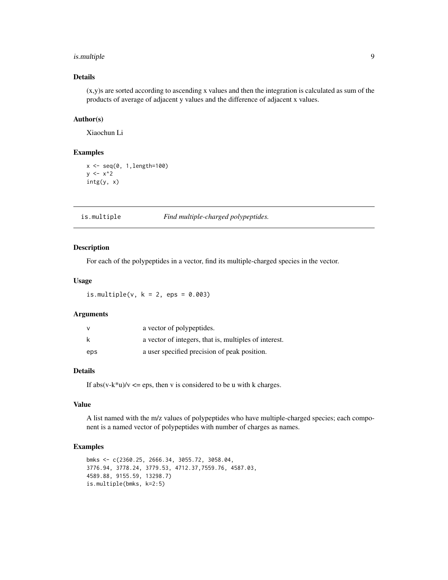## <span id="page-8-0"></span>is.multiple 9

## Details

 $(x,y)$ s are sorted according to ascending x values and then the integration is calculated as sum of the products of average of adjacent y values and the difference of adjacent x values.

## Author(s)

Xiaochun Li

## Examples

 $x \leq -\text{seq}(0, 1, \text{length}=100)$  $y \le -x^2$ intg(y, x)

is.multiple *Find multiple-charged polypeptides.*

#### Description

For each of the polypeptides in a vector, find its multiple-charged species in the vector.

#### Usage

is.multiple( $v$ ,  $k = 2$ , eps = 0.003)

## Arguments

| $\vee$ | a vector of polypeptides.                             |
|--------|-------------------------------------------------------|
| k      | a vector of integers, that is, multiples of interest. |
| eps    | a user specified precision of peak position.          |

## Details

If  $abs(v-k*u)/v \leq eps$ , then v is considered to be u with k charges.

## Value

A list named with the m/z values of polypeptides who have multiple-charged species; each component is a named vector of polypeptides with number of charges as names.

```
bmks <- c(2360.25, 2666.34, 3055.72, 3058.04,
3776.94, 3778.24, 3779.53, 4712.37,7559.76, 4587.03,
4589.88, 9155.59, 13298.7)
is.multiple(bmks, k=2:5)
```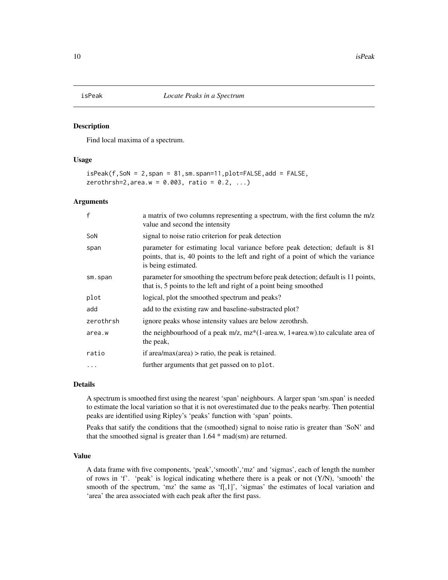<span id="page-9-0"></span>Find local maxima of a spectrum.

#### Usage

```
isPeak(f,SoN = 2,span = 81,sm.span=11,plot=FALSE,add = FALSE,
zerothrsh=2, area.w = 0.003, ratio = 0.2, ...)
```
#### Arguments

| $\mathsf{f}$ | a matrix of two columns representing a spectrum, with the first column the m/z<br>value and second the intensity                                                                         |
|--------------|------------------------------------------------------------------------------------------------------------------------------------------------------------------------------------------|
| SoN          | signal to noise ratio criterion for peak detection                                                                                                                                       |
| span         | parameter for estimating local variance before peak detection; default is 81<br>points, that is, 40 points to the left and right of a point of which the variance<br>is being estimated. |
| sm.span      | parameter for smoothing the spectrum before peak detection; default is 11 points,<br>that is, 5 points to the left and right of a point being smoothed                                   |
| plot         | logical, plot the smoothed spectrum and peaks?                                                                                                                                           |
| add          | add to the existing raw and baseline-substracted plot?                                                                                                                                   |
| zerothrsh    | ignore peaks whose intensity values are below zerothrsh.                                                                                                                                 |
| area.w       | the neighbourhood of a peak $m/z$ , $mz*(1-\text{area}.w)$ , $1+\text{area}.w$ ). to calculate area of<br>the peak,                                                                      |
| ratio        | if area/max(area) $>$ ratio, the peak is retained.                                                                                                                                       |
| .            | further arguments that get passed on to plot.                                                                                                                                            |
|              |                                                                                                                                                                                          |

#### Details

A spectrum is smoothed first using the nearest 'span' neighbours. A larger span 'sm.span' is needed to estimate the local variation so that it is not overestimated due to the peaks nearby. Then potential peaks are identified using Ripley's 'peaks' function with 'span' points.

Peaks that satify the conditions that the (smoothed) signal to noise ratio is greater than 'SoN' and that the smoothed signal is greater than 1.64 \* mad(sm) are returned.

#### Value

A data frame with five components, 'peak','smooth','mz' and 'sigmas', each of length the number of rows in 'f'. 'peak' is logical indicating whethere there is a peak or not  $(Y/N)$ , 'smooth' the smooth of the spectrum, 'mz' the same as 'f[,1]', 'sigmas' the estimates of local variation and 'area' the area associated with each peak after the first pass.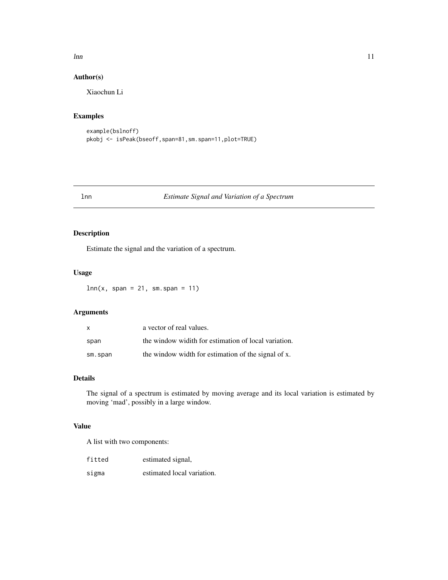#### <span id="page-10-0"></span> $lnn$  11

## Author(s)

Xiaochun Li

## Examples

```
example(bslnoff)
pkobj <- isPeak(bseoff,span=81,sm.span=11,plot=TRUE)
```
#### lnn *Estimate Signal and Variation of a Spectrum*

## Description

Estimate the signal and the variation of a spectrum.

#### Usage

 $lnn(x, span = 21, sm.span = 11)$ 

## Arguments

| x       | a vector of real values.                             |
|---------|------------------------------------------------------|
| span    | the window widith for estimation of local variation. |
| sm.span | the window width for estimation of the signal of x.  |

## Details

The signal of a spectrum is estimated by moving average and its local variation is estimated by moving 'mad', possibly in a large window.

#### Value

A list with two components:

| fitted | estimated signal,          |
|--------|----------------------------|
| sigma  | estimated local variation. |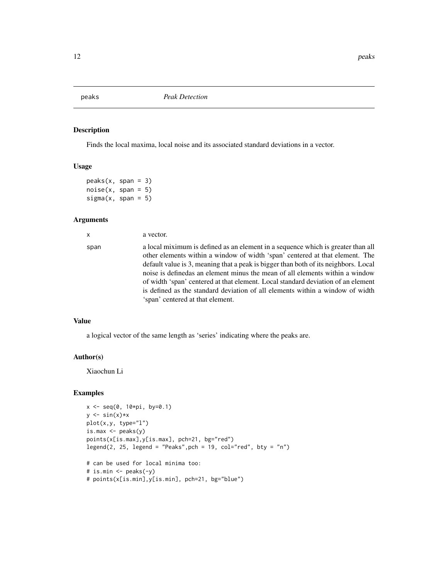<span id="page-11-0"></span>

Finds the local maxima, local noise and its associated standard deviations in a vector.

#### Usage

```
peaks(x, span = 3)noise(x, span = 5)signa(x, span = 5)
```
#### Arguments

x a vector. span a local miximum is defined as an element in a sequence which is greater than all other elements within a window of width 'span' centered at that element. The default value is 3, meaning that a peak is bigger than both of its neighbors. Local noise is definedas an element minus the mean of all elements within a window of width 'span' centered at that element. Local standard deviation of an element is defined as the standard deviation of all elements within a window of width 'span' centered at that element.

#### Value

a logical vector of the same length as 'series' indicating where the peaks are.

#### Author(s)

Xiaochun Li

```
x <- seq(0, 10*pi, by=0.1)
y \leftarrow \sin(x) \cdot xplot(x,y, type="l")
is.max \leq peaks(y)
points(x[is.max],y[is.max], pch=21, bg="red")
legend(2, 25, legend = "Peaks", pch = 19, col="red", bty = "n")# can be used for local minima too:
```

```
# is.min <- peaks(-y)
# points(x[is.min],y[is.min], pch=21, bg="blue")
```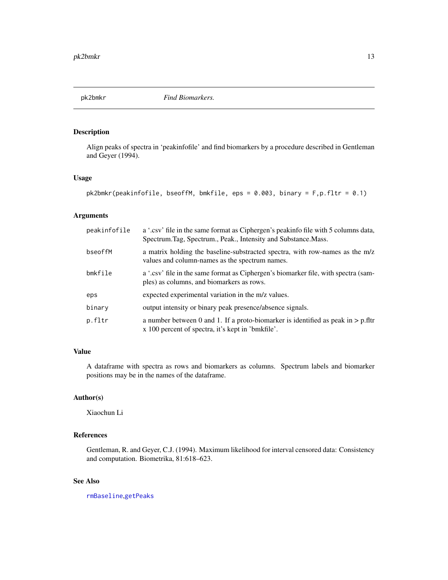<span id="page-12-0"></span>

Align peaks of spectra in 'peakinfofile' and find biomarkers by a procedure described in Gentleman and Geyer (1994).

## Usage

```
pk2bmkr(peakinfofile, bseoffM, bmkfile, eps = 0.003, binary = F,p.fltr = 0.1)
```
## Arguments

| peakinfofile | a '.csv' file in the same format as Ciphergen's peakinfo file with 5 columns data,<br>Spectrum.Tag, Spectrum., Peak., Intensity and Substance.Mass. |
|--------------|-----------------------------------------------------------------------------------------------------------------------------------------------------|
| bseoffM      | a matrix holding the baseline-substracted spectra, with row-names as the m/z<br>values and column-names as the spectrum names.                      |
| bmkfile      | a '.csv' file in the same format as Ciphergen's biomarker file, with spectra (sam-<br>ples) as columns, and biomarkers as rows.                     |
| eps          | expected experimental variation in the m/z values.                                                                                                  |
| binary       | output intensity or binary peak presence/absence signals.                                                                                           |
| p.fltr       | a number between 0 and 1. If a proto-biomarker is identified as peak in $> p$ .fltr<br>x 100 percent of spectra, it's kept in 'bmkfile'.            |

## Value

A dataframe with spectra as rows and biomarkers as columns. Spectrum labels and biomarker positions may be in the names of the dataframe.

## Author(s)

Xiaochun Li

## References

Gentleman, R. and Geyer, C.J. (1994). Maximum likelihood for interval censored data: Consistency and computation. Biometrika, 81:618–623.

## See Also

[rmBaseline](#page-15-1),[getPeaks](#page-6-1)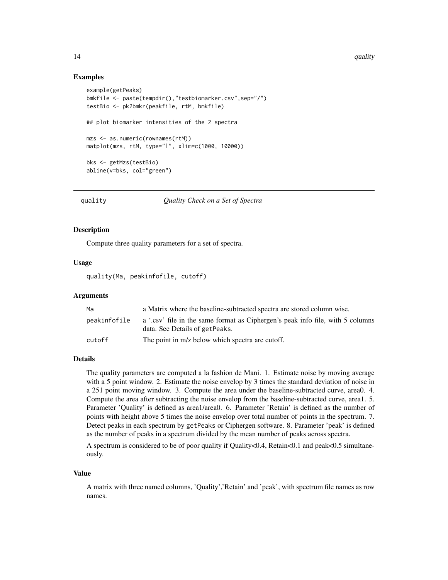#### Examples

```
example(getPeaks)
bmkfile <- paste(tempdir(),"testbiomarker.csv",sep="/")
testBio <- pk2bmkr(peakfile, rtM, bmkfile)
## plot biomarker intensities of the 2 spectra
mzs <- as.numeric(rownames(rtM))
matplot(mzs, rtM, type="l", xlim=c(1000, 10000))
bks <- getMzs(testBio)
abline(v=bks, col="green")
```
quality *Quality Check on a Set of Spectra*

#### Description

Compute three quality parameters for a set of spectra.

#### Usage

quality(Ma, peakinfofile, cutoff)

#### Arguments

| Ma           | a Matrix where the baseline-subtracted spectra are stored column wise.         |
|--------------|--------------------------------------------------------------------------------|
| peakinfofile | a '.csv' file in the same format as Ciphergen's peak info file, with 5 columns |
|              | data. See Details of getPeaks.                                                 |
| cutoff       | The point in m/z below which spectra are cutoff.                               |

## Details

The quality parameters are computed a la fashion de Mani. 1. Estimate noise by moving average with a 5 point window. 2. Estimate the noise envelop by 3 times the standard deviation of noise in a 251 point moving window. 3. Compute the area under the baseline-subtracted curve, area0. 4. Compute the area after subtracting the noise envelop from the baseline-subtracted curve, area1. 5. Parameter 'Quality' is defined as area1/area0. 6. Parameter 'Retain' is defined as the number of points with height above 5 times the noise envelop over total number of points in the spectrum. 7. Detect peaks in each spectrum by getPeaks or Ciphergen software. 8. Parameter 'peak' is defined as the number of peaks in a spectrum divided by the mean number of peaks across spectra.

A spectrum is considered to be of poor quality if Quality<0.4, Retain<0.1 and peak<0.5 simultaneously.

#### Value

A matrix with three named columns, 'Quality','Retain' and 'peak', with spectrum file names as row names.

<span id="page-13-0"></span>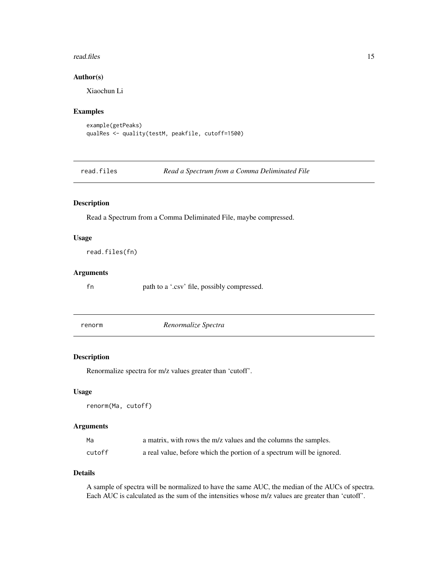#### <span id="page-14-0"></span>read.files and 15

## Author(s)

Xiaochun Li

#### Examples

```
example(getPeaks)
qualRes <- quality(testM, peakfile, cutoff=1500)
```
read.files *Read a Spectrum from a Comma Deliminated File*

## Description

Read a Spectrum from a Comma Deliminated File, maybe compressed.

## Usage

read.files(fn)

#### Arguments

fn path to a '.csv' file, possibly compressed.

renorm *Renormalize Spectra*

## Description

Renormalize spectra for m/z values greater than 'cutoff'.

### Usage

renorm(Ma, cutoff)

#### Arguments

| Ma     | a matrix, with rows the m/z values and the columns the samples.       |
|--------|-----------------------------------------------------------------------|
| cutoff | a real value, before which the portion of a spectrum will be ignored. |

#### Details

A sample of spectra will be normalized to have the same AUC, the median of the AUCs of spectra. Each AUC is calculated as the sum of the intensities whose m/z values are greater than 'cutoff'.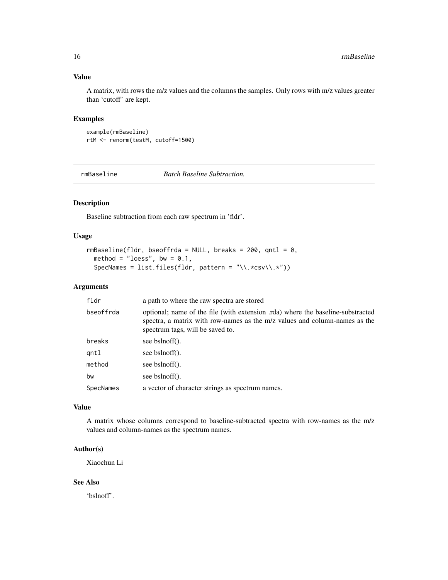## <span id="page-15-0"></span>Value

A matrix, with rows the m/z values and the columns the samples. Only rows with m/z values greater than 'cutoff' are kept.

#### Examples

example(rmBaseline) rtM <- renorm(testM, cutoff=1500)

<span id="page-15-1"></span>rmBaseline *Batch Baseline Subtraction.*

## Description

Baseline subtraction from each raw spectrum in 'fldr'.

#### Usage

```
rmBasedline (flat, besoffrda = NULL, breaks = 200, qntl = 0,method = "loess", bw = 0.1,
 SpecNames = list.files(fldr, pattern = "\\.*csv\\.*"))
```
## Arguments

| fldr      | a path to where the raw spectra are stored                                                                                                                                                        |
|-----------|---------------------------------------------------------------------------------------------------------------------------------------------------------------------------------------------------|
| bseoffrda | optional; name of the file (with extension .rda) where the baseline-substracted<br>spectra, a matrix with row-names as the m/z values and column-names as the<br>spectrum tags, will be saved to. |
| breaks    | see bslnoff().                                                                                                                                                                                    |
| gntl      | see bslnoff().                                                                                                                                                                                    |
| method    | see bslnoff().                                                                                                                                                                                    |
| bw        | see bslnoff().                                                                                                                                                                                    |
| SpecNames | a vector of character strings as spectrum names.                                                                                                                                                  |

## Value

A matrix whose columns correspond to baseline-subtracted spectra with row-names as the m/z values and column-names as the spectrum names.

## Author(s)

Xiaochun Li

## See Also

'bslnoff'.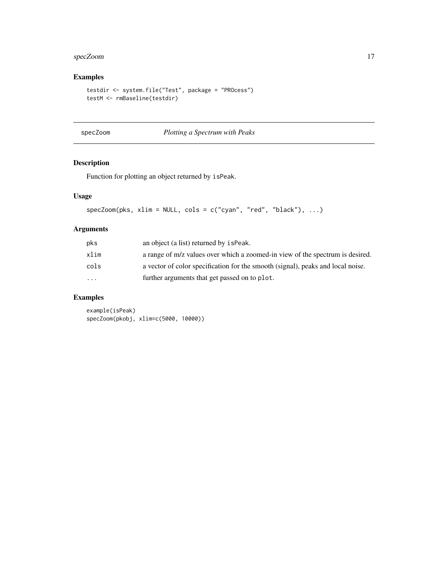## <span id="page-16-0"></span>specZoom 17

## Examples

```
testdir <- system.file("Test", package = "PROcess")
testM <- rmBaseline(testdir)
```
specZoom *Plotting a Spectrum with Peaks*

## Description

Function for plotting an object returned by isPeak.

## Usage

```
specZoom(pks, xlim = NULL, cols = c("cyan", "red", "black"), ...)
```
## Arguments

| pks                     | an object (a list) returned by is Peak.                                         |
|-------------------------|---------------------------------------------------------------------------------|
| xlim                    | a range of m/z values over which a zoomed-in view of the spectrum is desired.   |
| cols                    | a vector of color specification for the smooth (signal), peaks and local noise. |
| $\cdot$ $\cdot$ $\cdot$ | further arguments that get passed on to plot.                                   |
|                         |                                                                                 |

## Examples

example(isPeak) specZoom(pkobj, xlim=c(5000, 10000))